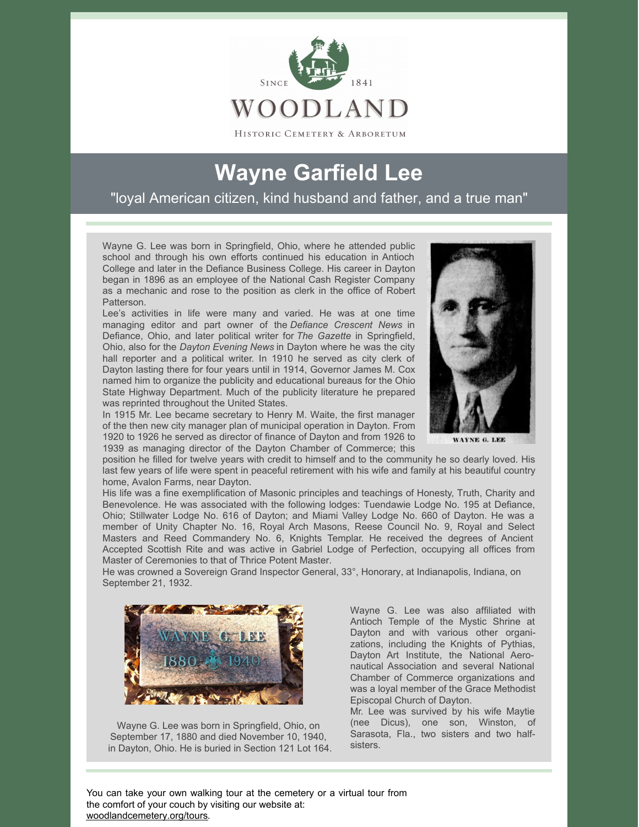

HISTORIC CEMETERY & ARBORETUM

## **Wayne Garfield Lee**

"loyal American citizen, kind husband and father, and a true man"

Wayne G. Lee was born in Springfield, Ohio, where he attended public school and through his own efforts continued his education in Antioch College and later in the Defiance Business College. His career in Dayton began in 1896 as an employee of the National Cash Register Company as a mechanic and rose to the position as clerk in the office of Robert Patterson.

Lee's activities in life were many and varied. He was at one time managing editor and part owner of the *Defiance Crescent News* in Defiance, Ohio, and later political writer for *The Gazette* in Springfield, Ohio, also for the *Dayton Evening News* in Dayton where he was the city hall reporter and a political writer. In 1910 he served as city clerk of Dayton lasting there for four years until in 1914, Governor James M. Cox named him to organize the publicity and educational bureaus for the Ohio State Highway Department. Much of the publicity literature he prepared was reprinted throughout the United States.

In 1915 Mr. Lee became secretary to Henry M. Waite, the first manager of the then new city manager plan of municipal operation in Dayton. From 1920 to 1926 he served as director of finance of Dayton and from 1926 to 1939 as managing director of the Dayton Chamber of Commerce; this



WAYNE G. LEE

position he filled for twelve years with credit to himself and to the community he so dearly loved. His last few years of life were spent in peaceful retirement with his wife and family at his beautiful country home, Avalon Farms, near Dayton.

His life was a fine exemplification of Masonic principles and teachings of Honesty, Truth, Charity and Benevolence. He was associated with the following lodges: Tuendawie Lodge No. 195 at Defiance, Ohio; Stillwater Lodge No. 616 of Dayton; and Miami Valley Lodge No. 660 of Dayton. He was a member of Unity Chapter No. 16, Royal Arch Masons, Reese Council No. 9, Royal and Select Masters and Reed Commandery No. 6, Knights Templar. He received the degrees of Ancient Accepted Scottish Rite and was active in Gabriel Lodge of Perfection, occupying all offices from Master of Ceremonies to that of Thrice Potent Master.

He was crowned a Sovereign Grand Inspector General, 33°, Honorary, at Indianapolis, Indiana, on September 21, 1932.



Wayne G. Lee was born in Springfield, Ohio, on September 17, 1880 and died November 10, 1940, in Dayton, Ohio. He is buried in Section 121 Lot 164.

Wayne G. Lee was also affiliated with Antioch Temple of the Mystic Shrine at Dayton and with various other organizations, including the Knights of Pythias, Dayton Art Institute, the National Aeronautical Association and several National Chamber of Commerce organizations and was a loyal member of the Grace Methodist Episcopal Church of Dayton.

Mr. Lee was survived by his wife Maytie (nee Dicus), one son, Winston, of Sarasota, Fla., two sisters and two halfsisters.

You can take your own walking tour at the cemetery or a virtual tour from the comfort of your couch by visiting our website at: [woodlandcemetery.org/tours](https://woodlandcemetery.org/tours/).